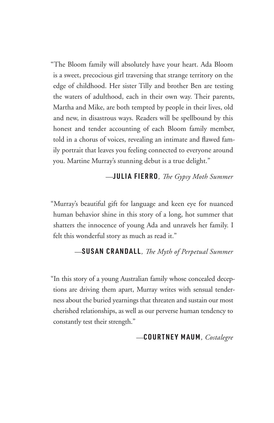"The Bloom family will absolutely have your heart. Ada Bloom is a sweet, precocious girl traversing that strange territory on the edge of childhood. Her sister Tilly and brother Ben are testing the waters of adulthood, each in their own way. Their parents, Martha and Mike, are both tempted by people in their lives, old and new, in disastrous ways. Readers will be spellbound by this honest and tender accounting of each Bloom family member, told in a chorus of voices, revealing an intimate and flawed family portrait that leaves you feeling connected to everyone around you. Martine Murray's stunning debut is a true delight."

## *—***JULIA FIERRO***, The Gypsy Moth Summer*

"Murray's beautiful gift for language and keen eye for nuanced human behavior shine in this story of a long, hot summer that shatters the innocence of young Ada and unravels her family. I felt this wonderful story as much as read it."

## *—***SUSAN CRANDALL***, The Myth of Perpetual Summer*

"In this story of a young Australian family whose concealed deceptions are driving them apart, Murray writes with sensual tenderness about the buried yearnings that threaten and sustain our most cherished relationships, as well as our perverse human tendency to constantly test their strength."

*—***COURTNEY MAUM***, Costalegre*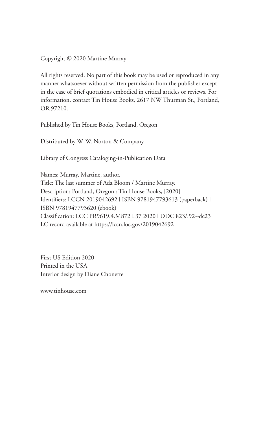Copyright © 2020 Martine Murray

All rights reserved. No part of this book may be used or reproduced in any manner whatsoever without written permission from the publisher except in the case of brief quotations embodied in critical articles or reviews. For information, contact Tin House Books, 2617 NW Thurman St., Portland, OR 97210.

Published by Tin House Books, Portland, Oregon

Distributed by W. W. Norton & Company

Library of Congress Cataloging-in-Publication Data

Names: Murray, Martine, author. Title: The last summer of Ada Bloom / Martine Murray. Description: Portland, Oregon : Tin House Books, [2020] Identifiers: LCCN 2019042692 | ISBN 9781947793613 (paperback) | ISBN 9781947793620 (ebook) Classification: LCC PR9619.4.M872 L37 2020 | DDC 823/.92--dc23 LC record available at https://lccn.loc.gov/2019042692

First US Edition 2020 Printed in the USA Interior design by Diane Chonette

www.tinhouse.com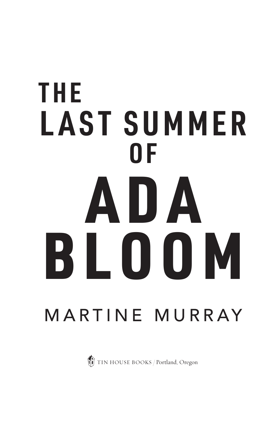## A D A BLOOM **T H E LAST SUMMER O F** MARTINE MURRAY

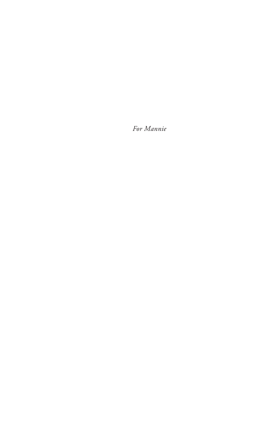*For Mannie*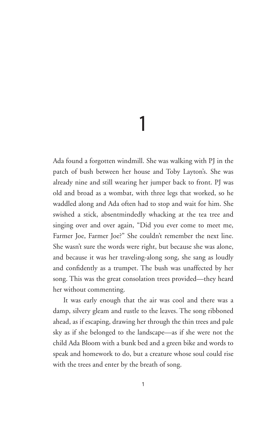1

Ada found a forgotten windmill. She was walking with PJ in the patch of bush between her house and Toby Layton's. She was already nine and still wearing her jumper back to front. PJ was old and broad as a wombat, with three legs that worked, so he waddled along and Ada often had to stop and wait for him. She swished a stick, absentmindedly whacking at the tea tree and singing over and over again, "Did you ever come to meet me, Farmer Joe, Farmer Joe?" She couldn't remember the next line. She wasn't sure the words were right, but because she was alone, and because it was her traveling-along song, she sang as loudly and confidently as a trumpet. The bush was unaffected by her song. This was the great consolation trees provided—they heard her without commenting.

It was early enough that the air was cool and there was a damp, silvery gleam and rustle to the leaves. The song ribboned ahead, as if escaping, drawing her through the thin trees and pale sky as if she belonged to the landscape—as if she were not the child Ada Bloom with a bunk bed and a green bike and words to speak and homework to do, but a creature whose soul could rise with the trees and enter by the breath of song.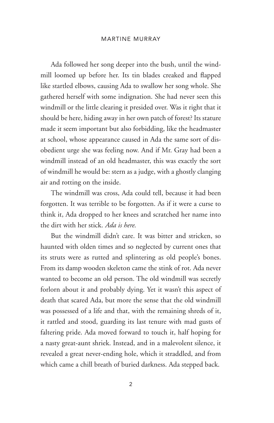Ada followed her song deeper into the bush, until the windmill loomed up before her. Its tin blades creaked and flapped like startled elbows, causing Ada to swallow her song whole. She gathered herself with some indignation. She had never seen this windmill or the little clearing it presided over. Was it right that it should be here, hiding away in her own patch of forest? Its stature made it seem important but also forbidding, like the headmaster at school, whose appearance caused in Ada the same sort of disobedient urge she was feeling now. And if Mr. Gray had been a windmill instead of an old headmaster, this was exactly the sort of windmill he would be: stern as a judge, with a ghostly clanging air and rotting on the inside.

The windmill was cross, Ada could tell, because it had been forgotten. It was terrible to be forgotten. As if it were a curse to think it, Ada dropped to her knees and scratched her name into the dirt with her stick. *Ada is here*.

But the windmill didn't care. It was bitter and stricken, so haunted with olden times and so neglected by current ones that its struts were as rutted and splintering as old people's bones. From its damp wooden skeleton came the stink of rot. Ada never wanted to become an old person. The old windmill was secretly forlorn about it and probably dying. Yet it wasn't this aspect of death that scared Ada, but more the sense that the old windmill was possessed of a life and that, with the remaining shreds of it, it rattled and stood, guarding its last tenure with mad gusts of faltering pride. Ada moved forward to touch it, half hoping for a nasty great-aunt shriek. Instead, and in a malevolent silence, it revealed a great never-ending hole, which it straddled, and from which came a chill breath of buried darkness. Ada stepped back.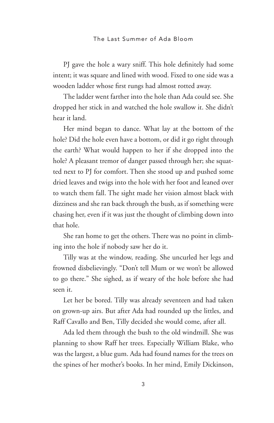PJ gave the hole a wary sniff. This hole definitely had some intent; it was square and lined with wood. Fixed to one side was a wooden ladder whose first rungs had almost rotted away.

The ladder went farther into the hole than Ada could see. She dropped her stick in and watched the hole swallow it. She didn't hear it land.

Her mind began to dance. What lay at the bottom of the hole? Did the hole even have a bottom, or did it go right through the earth? What would happen to her if she dropped into the hole? A pleasant tremor of danger passed through her; she squatted next to PJ for comfort. Then she stood up and pushed some dried leaves and twigs into the hole with her foot and leaned over to watch them fall. The sight made her vision almost black with dizziness and she ran back through the bush, as if something were chasing her, even if it was just the thought of climbing down into that hole.

She ran home to get the others. There was no point in climbing into the hole if nobody saw her do it.

Tilly was at the window, reading. She uncurled her legs and frowned disbelievingly. "Don't tell Mum or we won't be allowed to go there." She sighed, as if weary of the hole before she had seen it.

Let her be bored. Tilly was already seventeen and had taken on grown-up airs. But after Ada had rounded up the littles, and Raff Cavallo and Ben, Tilly decided she would come, after all.

Ada led them through the bush to the old windmill. She was planning to show Raff her trees. Especially William Blake, who was the largest, a blue gum. Ada had found names for the trees on the spines of her mother's books. In her mind, Emily Dickinson,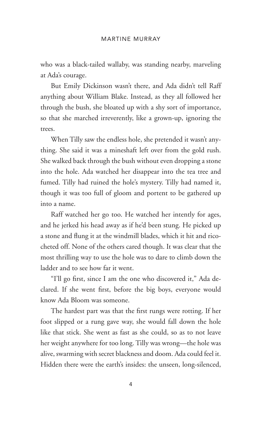who was a black-tailed wallaby, was standing nearby, marveling at Ada's courage.

But Emily Dickinson wasn't there, and Ada didn't tell Raff anything about William Blake. Instead, as they all followed her through the bush, she bloated up with a shy sort of importance, so that she marched irreverently, like a grown-up, ignoring the trees.

When Tilly saw the endless hole, she pretended it wasn't anything. She said it was a mineshaft left over from the gold rush. She walked back through the bush without even dropping a stone into the hole. Ada watched her disappear into the tea tree and fumed. Tilly had ruined the hole's mystery. Tilly had named it, though it was too full of gloom and portent to be gathered up into a name.

Raff watched her go too. He watched her intently for ages, and he jerked his head away as if he'd been stung. He picked up a stone and flung it at the windmill blades, which it hit and ricocheted off. None of the others cared though. It was clear that the most thrilling way to use the hole was to dare to climb down the ladder and to see how far it went.

"I'll go first, since I am the one who discovered it," Ada declared. If she went first, before the big boys, everyone would know Ada Bloom was someone.

The hardest part was that the first rungs were rotting. If her foot slipped or a rung gave way, she would fall down the hole like that stick. She went as fast as she could, so as to not leave her weight anywhere for too long. Tilly was wrong—the hole was alive, swarming with secret blackness and doom. Ada could feel it. Hidden there were the earth's insides: the unseen, long-silenced,